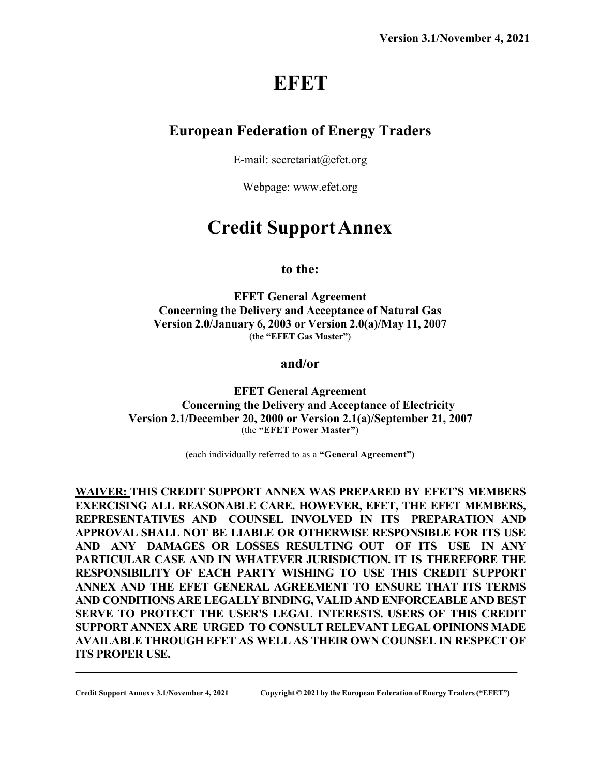# **EFET**

# **European Federation of Energy Traders**

E-mail: secretariat@efet.org

Webpage: www.efet.org

# **Credit SupportAnnex**

### **to the:**

**EFET General Agreement Concerning the Delivery and Acceptance of Natural Gas Version 2.0/January 6, 2003 or Version 2.0(a)/May 11, 2007** (the **"EFET Gas Master"**)

**and/or**

**EFET General Agreement Concerning the Delivery and Acceptance of Electricity Version 2.1/December 20, 2000 or Version 2.1(a)/September 21, 2007** (the **"EFET Power Master"**)

**(**each individually referred to as a **"General Agreement")**

**WAIVER: THIS CREDIT SUPPORT ANNEX WAS PREPARED BY EFET'S MEMBERS EXERCISING ALL REASONABLE CARE. HOWEVER, EFET, THE EFET MEMBERS, REPRESENTATIVES AND COUNSEL INVOLVED IN ITS PREPARATION AND APPROVAL SHALL NOT BE LIABLE OR OTHERWISE RESPONSIBLE FOR ITS USE AND ANY DAMAGES OR LOSSES RESULTING OUT OF ITS USE IN ANY PARTICULAR CASE AND IN WHATEVER JURISDICTION. IT IS THEREFORE THE RESPONSIBILITY OF EACH PARTY WISHING TO USE THIS CREDIT SUPPORT ANNEX AND THE EFET GENERAL AGREEMENT TO ENSURE THAT ITS TERMS AND CONDITIONS ARE LEGALLY BINDING, VALID AND ENFORCEABLE AND BEST SERVE TO PROTECT THE USER'S LEGAL INTERESTS. USERS OF THIS CREDIT SUPPORT ANNEX ARE URGED TO CONSULT RELEVANT LEGAL OPINIONS MADE AVAILABLE THROUGH EFET AS WELL AS THEIR OWN COUNSEL IN RESPECT OF ITS PROPER USE.**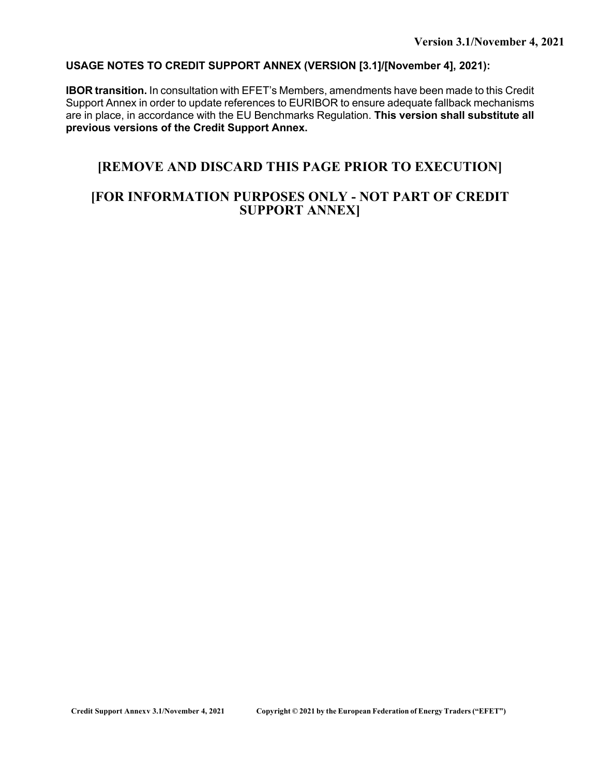### **USAGE NOTES TO CREDIT SUPPORT ANNEX (VERSION [3.1]/[November 4], 2021):**

**IBOR transition.** In consultation with EFET's Members, amendments have been made to this Credit Support Annex in order to update references to EURIBOR to ensure adequate fallback mechanisms are in place, in accordance with the EU Benchmarks Regulation. **This version shall substitute all previous versions of the Credit Support Annex.**

# **[REMOVE AND DISCARD THIS PAGE PRIOR TO EXECUTION]**

## **[FOR INFORMATION PURPOSES ONLY - NOT PART OF CREDIT SUPPORT ANNEX]**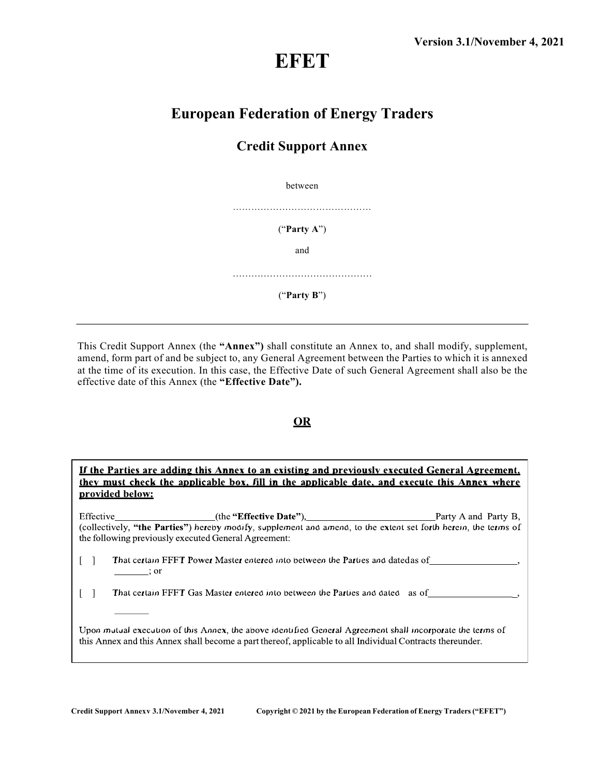# **EFET**

# **European Federation of Energy Traders**

# **Credit Support Annex**

between

("**Party A**")

and

………………………………………

("**Party B**")

This Credit Support Annex (the **"Annex")** shall constitute an Annex to, and shall modify, supplement, amend, form part of and be subject to, any General Agreement between the Parties to which it is annexed at the time of its execution. In this case, the Effective Date of such General Agreement shall also be the effective date of this Annex (the **"Effective Date").**

### **OR**

If the Parties are adding this Annex to an existing and previously executed General Agreement, they must check the applicable box, fill in the applicable date, and execute this Annex where provided below:

(the "Effective Date"), Effective Party A and Party B, (collectively, "the Parties") hereby modify, supplement and amend, to the extent set forth herein, the terms of the following previously executed General Agreement:

That certain EFET Power Master entered into between the Parties and datedas of  $\lceil \cdot \rceil$  $\overline{\phantom{a}}$  ; or

That certain EFET Gas Master entered into between the Parties and dated as of  $\begin{bmatrix} 1 \end{bmatrix}$ 

Upon mutual execution of this Annex, the above identified General Agreement shall incorporate the terms of this Annex and this Annex shall become a part thereof, applicable to all Individual Contracts thereunder.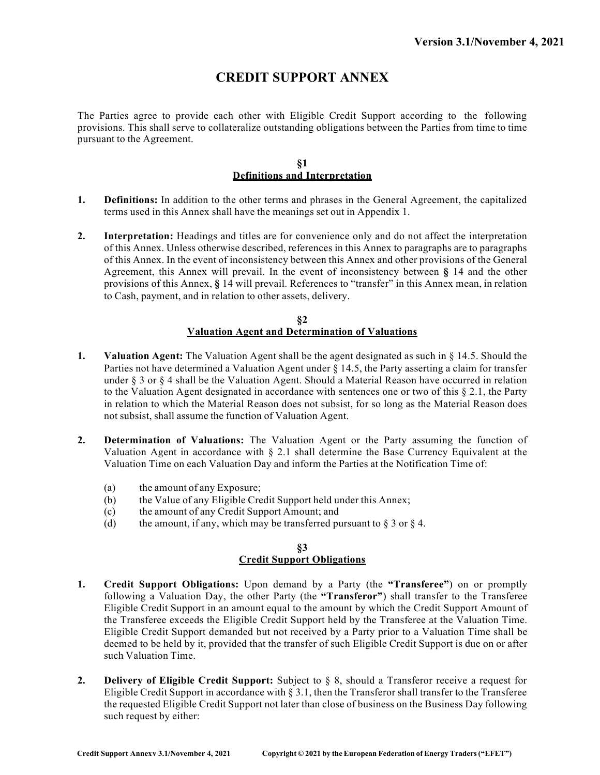# **CREDIT SUPPORT ANNEX**

The Parties agree to provide each other with Eligible Credit Support according to the following provisions. This shall serve to collateralize outstanding obligations between the Parties from time to time pursuant to the Agreement.

#### **§1 Definitions and Interpretation**

- **1. Definitions:** In addition to the other terms and phrases in the General Agreement, the capitalized terms used in this Annex shall have the meanings set out in Appendix 1.
- **2. Interpretation:** Headings and titles are for convenience only and do not affect the interpretation of this Annex. Unless otherwise described, references in this Annex to paragraphs are to paragraphs of this Annex. In the event of inconsistency between this Annex and other provisions of the General Agreement, this Annex will prevail. In the event of inconsistency between **§** 14 and the other provisions of this Annex, **§** 14 will prevail. References to "transfer" in this Annex mean, in relation to Cash, payment, and in relation to other assets, delivery.

#### **§2 Valuation Agent and Determination of Valuations**

- **1. Valuation Agent:** The Valuation Agent shall be the agent designated as such in § 14.5. Should the Parties not have determined a Valuation Agent under § 14.5, the Party asserting a claim for transfer under  $\S 3$  or  $\S 4$  shall be the Valuation Agent. Should a Material Reason have occurred in relation to the Valuation Agent designated in accordance with sentences one or two of this  $\S 2.1$ , the Party in relation to which the Material Reason does not subsist, for so long as the Material Reason does not subsist, shall assume the function of Valuation Agent.
- **2. Determination of Valuations:** The Valuation Agent or the Party assuming the function of Valuation Agent in accordance with § 2.1 shall determine the Base Currency Equivalent at the Valuation Time on each Valuation Day and inform the Parties at the Notification Time of:
	- (a) the amount of any Exposure;
	- (b) the Value of any Eligible Credit Support held under this Annex;
	- (c) the amount of any Credit Support Amount; and
	- (d) the amount, if any, which may be transferred pursuant to  $\S 3$  or  $\S 4$ .

#### **§3 Credit Support Obligations**

- **1. Credit Support Obligations:** Upon demand by a Party (the **"Transferee"**) on or promptly following a Valuation Day, the other Party (the **"Transferor"**) shall transfer to the Transferee Eligible Credit Support in an amount equal to the amount by which the Credit Support Amount of the Transferee exceeds the Eligible Credit Support held by the Transferee at the Valuation Time. Eligible Credit Support demanded but not received by a Party prior to a Valuation Time shall be deemed to be held by it, provided that the transfer of such Eligible Credit Support is due on or after such Valuation Time.
- **2. Delivery of Eligible Credit Support:** Subject to § 8, should a Transferor receive a request for Eligible Credit Support in accordance with § 3.1, then the Transferor shall transfer to the Transferee the requested Eligible Credit Support not later than close of business on the Business Day following such request by either: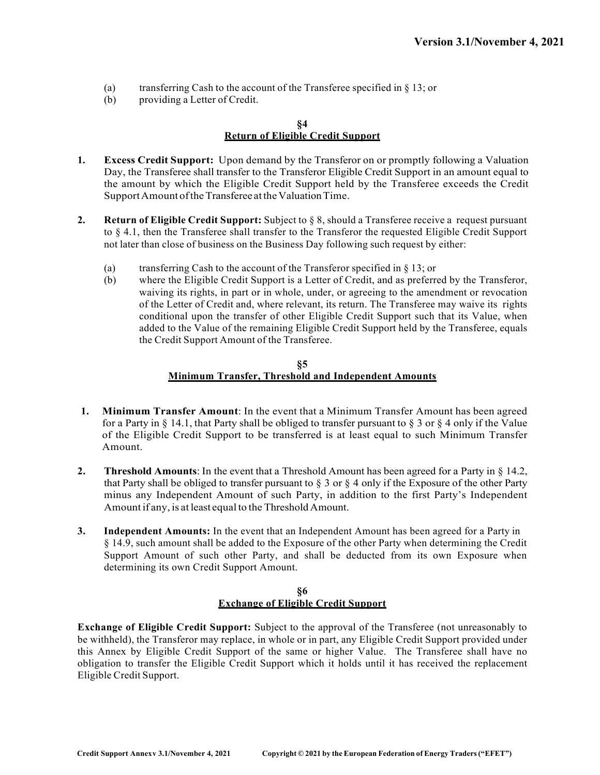- (a) transferring Cash to the account of the Transferee specified in  $\S$  13; or
- (b) providing a Letter of Credit.

#### **§4 Return of Eligible Credit Support**

- **1. Excess Credit Support:** Upon demand by the Transferor on or promptly following a Valuation Day, the Transferee shall transfer to the Transferor Eligible Credit Support in an amount equal to the amount by which the Eligible Credit Support held by the Transferee exceeds the Credit Support Amount of the Transferee at the Valuation Time.
- **2. Return of Eligible Credit Support:** Subject to § 8, should a Transferee receive a request pursuant to § 4.1, then the Transferee shall transfer to the Transferor the requested Eligible Credit Support not later than close of business on the Business Day following such request by either:
	- (a) transferring Cash to the account of the Transferor specified in § 13; or
	- (b) where the Eligible Credit Support is a Letter of Credit, and as preferred by the Transferor, waiving its rights, in part or in whole, under, or agreeing to the amendment or revocation of the Letter of Credit and, where relevant, its return. The Transferee may waive its rights conditional upon the transfer of other Eligible Credit Support such that its Value, when added to the Value of the remaining Eligible Credit Support held by the Transferee, equals the Credit Support Amount of the Transferee.

#### **§5 Minimum Transfer, Threshold and Independent Amounts**

- **1. Minimum Transfer Amount**: In the event that a Minimum Transfer Amount has been agreed for a Party in  $\S$  14.1, that Party shall be obliged to transfer pursuant to  $\S$  3 or  $\S$  4 only if the Value of the Eligible Credit Support to be transferred is at least equal to such Minimum Transfer Amount.
- **2. Threshold Amounts**: In the event that a Threshold Amount has been agreed for a Party in § 14.2, that Party shall be obliged to transfer pursuant to  $\S 3$  or  $\S 4$  only if the Exposure of the other Party minus any Independent Amount of such Party, in addition to the first Party's Independent Amount if any, is at least equal to the Threshold Amount.
- **3. Independent Amounts:** In the event that an Independent Amount has been agreed for a Party in § 14.9, such amount shall be added to the Exposure of the other Party when determining the Credit Support Amount of such other Party, and shall be deducted from its own Exposure when determining its own Credit Support Amount.

#### **§6 Exchange of Eligible Credit Support**

**Exchange of Eligible Credit Support:** Subject to the approval of the Transferee (not unreasonably to be withheld), the Transferor may replace, in whole or in part, any Eligible Credit Support provided under this Annex by Eligible Credit Support of the same or higher Value. The Transferee shall have no obligation to transfer the Eligible Credit Support which it holds until it has received the replacement Eligible Credit Support.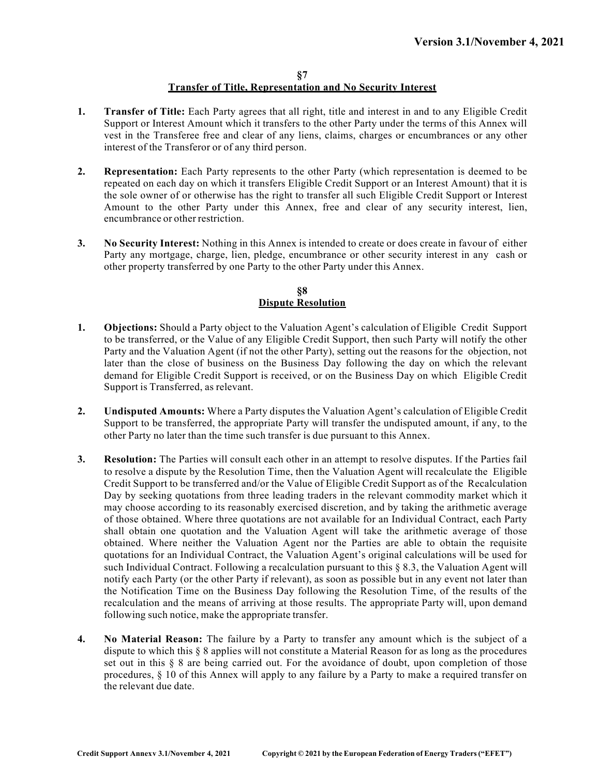#### **§7 Transfer of Title, Representation and No Security Interest**

- **1. Transfer of Title:** Each Party agrees that all right, title and interest in and to any Eligible Credit Support or Interest Amount which it transfers to the other Party under the terms of this Annex will vest in the Transferee free and clear of any liens, claims, charges or encumbrances or any other interest of the Transferor or of any third person.
- **2. Representation:** Each Party represents to the other Party (which representation is deemed to be repeated on each day on which it transfers Eligible Credit Support or an Interest Amount) that it is the sole owner of or otherwise has the right to transfer all such Eligible Credit Support or Interest Amount to the other Party under this Annex, free and clear of any security interest, lien, encumbrance or other restriction.
- **3. No Security Interest:** Nothing in this Annex is intended to create or does create in favour of either Party any mortgage, charge, lien, pledge, encumbrance or other security interest in any cash or other property transferred by one Party to the other Party under this Annex.

#### **§8 Dispute Resolution**

- **1. Objections:** Should a Party object to the Valuation Agent's calculation of Eligible Credit Support to be transferred, or the Value of any Eligible Credit Support, then such Party will notify the other Party and the Valuation Agent (if not the other Party), setting out the reasons for the objection, not later than the close of business on the Business Day following the day on which the relevant demand for Eligible Credit Support is received, or on the Business Day on which Eligible Credit Support is Transferred, as relevant.
- **2. Undisputed Amounts:** Where a Party disputes the Valuation Agent's calculation of Eligible Credit Support to be transferred, the appropriate Party will transfer the undisputed amount, if any, to the other Party no later than the time such transfer is due pursuant to this Annex.
- **3. Resolution:** The Parties will consult each other in an attempt to resolve disputes. If the Parties fail to resolve a dispute by the Resolution Time, then the Valuation Agent will recalculate the Eligible Credit Support to be transferred and/or the Value of Eligible Credit Support as of the Recalculation Day by seeking quotations from three leading traders in the relevant commodity market which it may choose according to its reasonably exercised discretion, and by taking the arithmetic average of those obtained. Where three quotations are not available for an Individual Contract, each Party shall obtain one quotation and the Valuation Agent will take the arithmetic average of those obtained. Where neither the Valuation Agent nor the Parties are able to obtain the requisite quotations for an Individual Contract, the Valuation Agent's original calculations will be used for such Individual Contract. Following a recalculation pursuant to this § 8.3, the Valuation Agent will notify each Party (or the other Party if relevant), as soon as possible but in any event not later than the Notification Time on the Business Day following the Resolution Time, of the results of the recalculation and the means of arriving at those results. The appropriate Party will, upon demand following such notice, make the appropriate transfer.
- **4. No Material Reason:** The failure by a Party to transfer any amount which is the subject of a dispute to which this § 8 applies will not constitute a Material Reason for as long as the procedures set out in this § 8 are being carried out. For the avoidance of doubt, upon completion of those procedures, § 10 of this Annex will apply to any failure by a Party to make a required transfer on the relevant due date.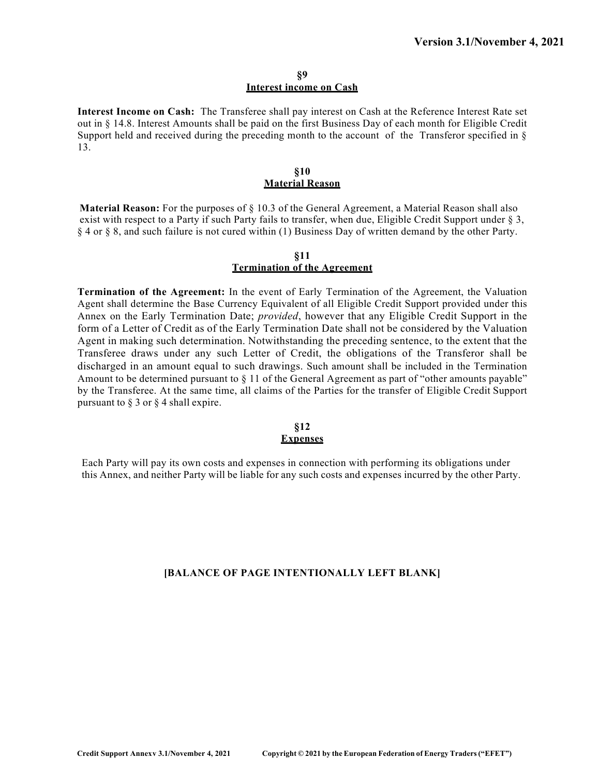#### **§9 Interest income on Cash**

**Interest Income on Cash:** The Transferee shall pay interest on Cash at the Reference Interest Rate set out in § 14.8. Interest Amounts shall be paid on the first Business Day of each month for Eligible Credit Support held and received during the preceding month to the account of the Transferor specified in § 13.

#### **§10 Material Reason**

**Material Reason:** For the purposes of § 10.3 of the General Agreement, a Material Reason shall also exist with respect to a Party if such Party fails to transfer, when due, Eligible Credit Support under § 3, § 4 or § 8, and such failure is not cured within (1) Business Day of written demand by the other Party.

#### **§11 Termination of the Agreement**

**Termination of the Agreement:** In the event of Early Termination of the Agreement, the Valuation Agent shall determine the Base Currency Equivalent of all Eligible Credit Support provided under this Annex on the Early Termination Date; *provided*, however that any Eligible Credit Support in the form of a Letter of Credit as of the Early Termination Date shall not be considered by the Valuation Agent in making such determination. Notwithstanding the preceding sentence, to the extent that the Transferee draws under any such Letter of Credit, the obligations of the Transferor shall be discharged in an amount equal to such drawings. Such amount shall be included in the Termination Amount to be determined pursuant to § 11 of the General Agreement as part of "other amounts payable" by the Transferee. At the same time, all claims of the Parties for the transfer of Eligible Credit Support pursuant to § 3 or § 4 shall expire.

#### **§12 Expenses**

Each Party will pay its own costs and expenses in connection with performing its obligations under this Annex, and neither Party will be liable for any such costs and expenses incurred by the other Party.

### **[BALANCE OF PAGE INTENTIONALLY LEFT BLANK]**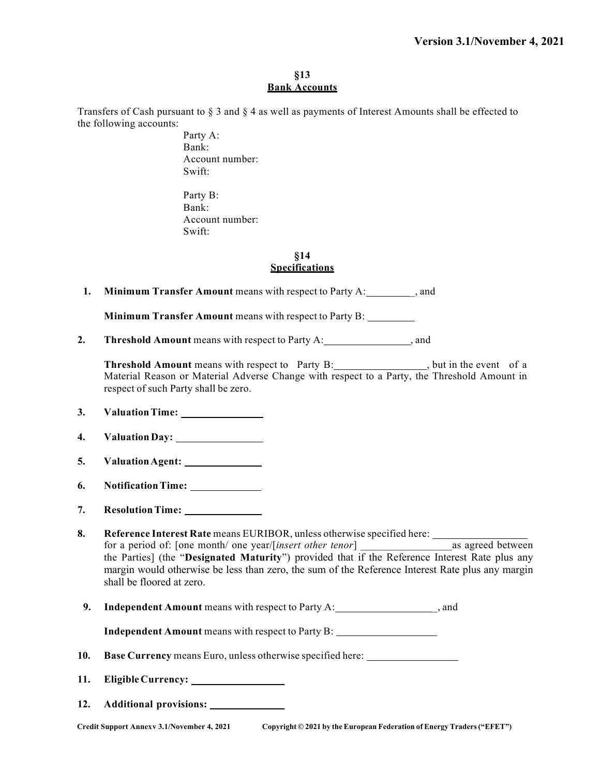#### **§13 Bank Accounts**

Transfers of Cash pursuant to § 3 and § 4 as well as payments of Interest Amounts shall be effected to the following accounts:

> Party A: Bank: Account number: Swift:

Party B: Bank: Account number: Swift:

#### **§14 Specifications**

**1. Minimum Transfer Amount** means with respect to Party A: \_\_\_\_\_\_\_\_\_\_\_\_\_\_\_, and

**Minimum Transfer Amount** means with respect to Party B:

**2. Threshold Amount** means with respect to Party A: , and

**Threshold Amount** means with respect to Party B: but in the event of a Material Reason or Material Adverse Change with respect to a Party, the Threshold Amount in respect of such Party shall be zero.

- **3. ValuationTime:**
- **4. Valuation Day:**
- **5. ValuationAgent:**
- **6. NotificationTime:**
- **7. ResolutionTime:**

**8. Reference Interest Rate** means EURIBOR, unless otherwise specified here: for a period of: [one month/ one year/[*insert other tenor*] as agreed between the Parties] (the "**Designated Maturity**") provided that if the Reference Interest Rate plus any margin would otherwise be less than zero, the sum of the Reference Interest Rate plus any margin shall be floored at zero.

**9.** Independent Amount means with respect to Party A: \_, and  $\alpha$ , and  $\beta$ 

**Independent Amount** means with respect to Party B:

- **10. Base Currency** means Euro, unless otherwise specified here:
- **11. EligibleCurrency:**
- **12. Additional provisions:**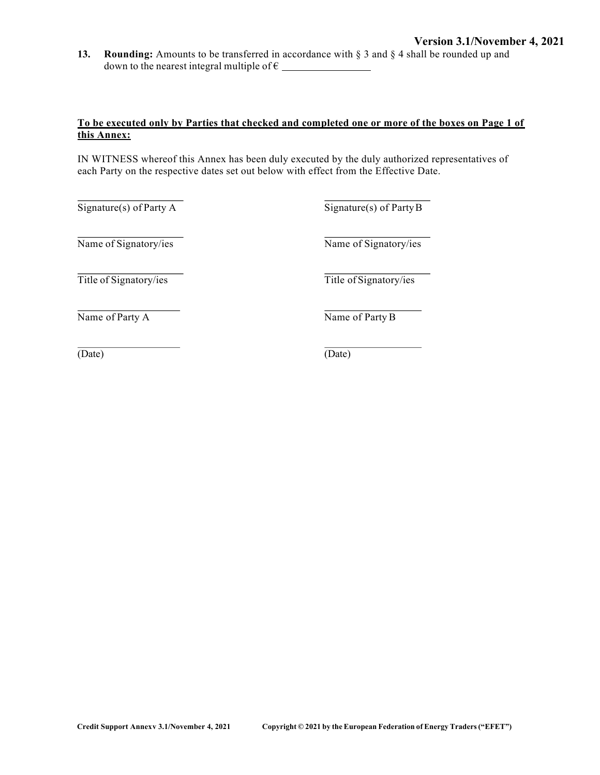**13. Rounding:** Amounts to be transferred in accordance with § 3 and § 4 shall be rounded up and down to the nearest integral multiple of  $\epsilon$ 

### **To be executed only by Parties that checked and completed one or more of the boxes on Page 1 of this Annex:**

IN WITNESS whereof this Annex has been duly executed by the duly authorized representatives of each Party on the respective dates set out below with effect from the Effective Date.

 $\overline{\text{Signature}(s)}$  of Party A  $\overline{\text{Signature}(s)}$  of Party B

Name of Signatory/ies Name of Signatory/ies

Title of Signatory/ies Title of Signatory/ies

Name of Party A Name of Party B

(Date) (Date)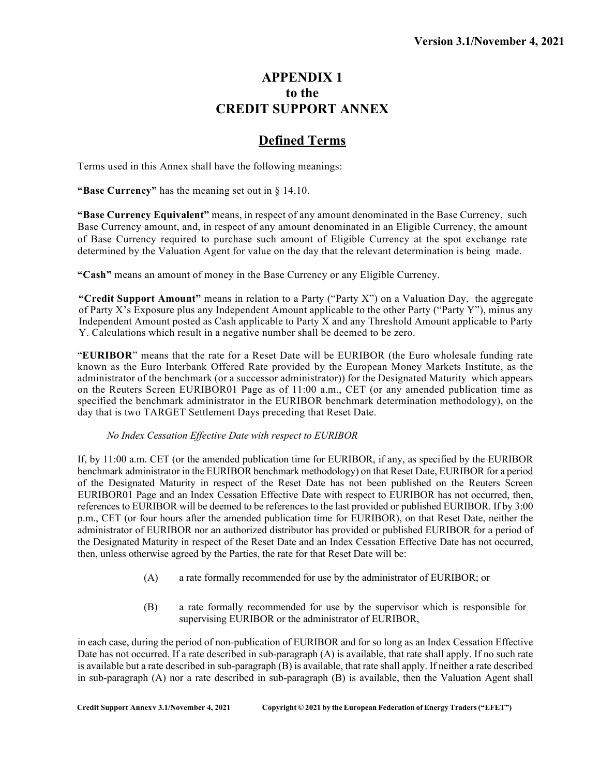## **APPENDIX 1 to the CREDIT SUPPORT ANNEX**

## **Defined Terms**

Terms used in this Annex shall have the following meanings:

**"Base Currency"** has the meaning set out in § 14.10.

**"Base Currency Equivalent"** means, in respect of any amount denominated in the Base Currency, such Base Currency amount, and, in respect of any amount denominated in an Eligible Currency, the amount of Base Currency required to purchase such amount of Eligible Currency at the spot exchange rate determined by the Valuation Agent for value on the day that the relevant determination is being made.

**"Cash"** means an amount of money in the Base Currency or any Eligible Currency.

**"Credit Support Amount"** means in relation to a Party ("Party X") on a Valuation Day, the aggregate of Party X's Exposure plus any Independent Amount applicable to the other Party ("Party Y"), minus any Independent Amount posted as Cash applicable to Party X and any Threshold Amount applicable to Party Y. Calculations which result in a negative number shall be deemed to be zero.

"**EURIBOR**" means that the rate for a Reset Date will be EURIBOR (the Euro wholesale funding rate known as the Euro Interbank Offered Rate provided by the European Money Markets Institute, as the administrator of the benchmark (or a successor administrator)) for the Designated Maturity which appears on the Reuters Screen EURIBOR01 Page as of 11:00 a.m., CET (or any amended publication time as specified the benchmark administrator in the EURIBOR benchmark determination methodology), on the day that is two TARGET Settlement Days preceding that Reset Date.

#### *No Index Cessation Effective Date with respect to EURIBOR*

If, by 11:00 a.m. CET (or the amended publication time for EURIBOR, if any, as specified by the EURIBOR benchmark administrator in the EURIBOR benchmark methodology) on that Reset Date, EURIBOR for a period of the Designated Maturity in respect of the Reset Date has not been published on the Reuters Screen EURIBOR01 Page and an Index Cessation Effective Date with respect to EURIBOR has not occurred, then, references to EURIBOR will be deemed to be references to the last provided or published EURIBOR. If by 3:00 p.m., CET (or four hours after the amended publication time for EURIBOR), on that Reset Date, neither the administrator of EURIBOR nor an authorized distributor has provided or published EURIBOR for a period of the Designated Maturity in respect of the Reset Date and an Index Cessation Effective Date has not occurred, then, unless otherwise agreed by the Parties, the rate for that Reset Date will be:

- (A) a rate formally recommended for use by the administrator of EURIBOR; or
- (B) a rate formally recommended for use by the supervisor which is responsible for supervising EURIBOR or the administrator of EURIBOR,

in each case, during the period of non-publication of EURIBOR and for so long as an Index Cessation Effective Date has not occurred. If a rate described in sub-paragraph (A) is available, that rate shall apply. If no such rate is available but a rate described in sub-paragraph (B) is available, that rate shall apply. If neither a rate described in sub-paragraph (A) nor a rate described in sub-paragraph (B) is available, then the Valuation Agent shall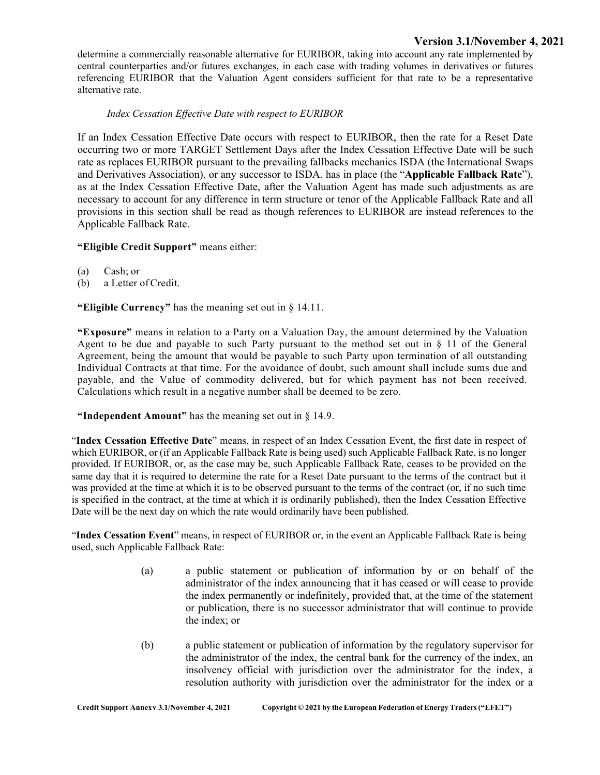### **Version 3.1/November 4, 2021**

determine a commercially reasonable alternative for EURIBOR, taking into account any rate implemented by central counterparties and/or futures exchanges, in each case with trading volumes in derivatives or futures referencing EURIBOR that the Valuation Agent considers sufficient for that rate to be a representative alternative rate.

### *Index Cessation Effective Date with respect to EURIBOR*

If an Index Cessation Effective Date occurs with respect to EURIBOR, then the rate for a Reset Date occurring two or more TARGET Settlement Days after the Index Cessation Effective Date will be such rate as replaces EURIBOR pursuant to the prevailing fallbacks mechanics ISDA (the International Swaps and Derivatives Association), or any successor to ISDA, has in place (the "**Applicable Fallback Rate**"), as at the Index Cessation Effective Date, after the Valuation Agent has made such adjustments as are necessary to account for any difference in term structure or tenor of the Applicable Fallback Rate and all provisions in this section shall be read as though references to EURIBOR are instead references to the Applicable Fallback Rate.

#### **"Eligible Credit Support"** means either:

- (a) Cash; or
- (b) a Letter ofCredit.

**"Eligible Currency"** has the meaning set out in § 14.11.

**"Exposure"** means in relation to a Party on a Valuation Day, the amount determined by the Valuation Agent to be due and payable to such Party pursuant to the method set out in  $\S$  11 of the General Agreement, being the amount that would be payable to such Party upon termination of all outstanding Individual Contracts at that time. For the avoidance of doubt, such amount shall include sums due and payable, and the Value of commodity delivered, but for which payment has not been received. Calculations which result in a negative number shall be deemed to be zero.

#### **"Independent Amount"** has the meaning set out in § 14.9.

"**Index Cessation Effective Date**" means, in respect of an Index Cessation Event, the first date in respect of which EURIBOR, or (if an Applicable Fallback Rate is being used) such Applicable Fallback Rate, is no longer provided. If EURIBOR, or, as the case may be, such Applicable Fallback Rate, ceases to be provided on the same day that it is required to determine the rate for a Reset Date pursuant to the terms of the contract but it was provided at the time at which it is to be observed pursuant to the terms of the contract (or, if no such time is specified in the contract, at the time at which it is ordinarily published), then the Index Cessation Effective Date will be the next day on which the rate would ordinarily have been published.

"**Index Cessation Event**" means, in respect of EURIBOR or, in the event an Applicable Fallback Rate is being used, such Applicable Fallback Rate:

- (a) a public statement or publication of information by or on behalf of the administrator of the index announcing that it has ceased or will cease to provide the index permanently or indefinitely, provided that, at the time of the statement or publication, there is no successor administrator that will continue to provide the index; or
- (b) a public statement or publication of information by the regulatory supervisor for the administrator of the index, the central bank for the currency of the index, an insolvency official with jurisdiction over the administrator for the index, a resolution authority with jurisdiction over the administrator for the index or a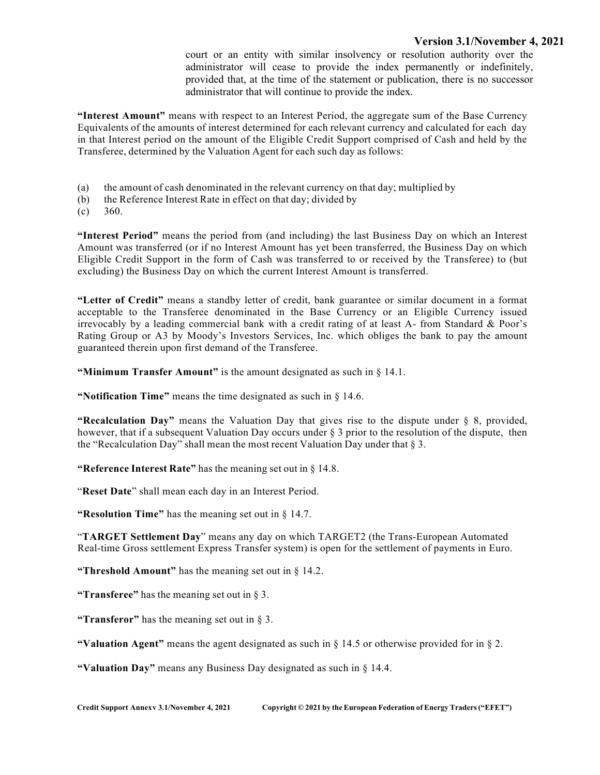#### **Version 3.1/November 4, 2021**

court or an entity with similar insolvency or resolution authority over the administrator will cease to provide the index permanently or indefinitely, provided that, at the time of the statement or publication, there is no successor administrator that will continue to provide the index.

**"Interest Amount"** means with respect to an Interest Period, the aggregate sum of the Base Currency Equivalents of the amounts of interest determined for each relevant currency and calculated for each day in that Interest period on the amount of the Eligible Credit Support comprised of Cash and held by the Transferee, determined by the Valuation Agent for each such day as follows:

- (a) the amount of cash denominated in the relevant currency on that day; multiplied by
- (b) the Reference Interest Rate in effect on that day; divided by
- $(c)$  360.

**"Interest Period"** means the period from (and including) the last Business Day on which an Interest Amount was transferred (or if no Interest Amount has yet been transferred, the Business Day on which Eligible Credit Support in the form of Cash was transferred to or received by the Transferee) to (but excluding) the Business Day on which the current Interest Amount is transferred.

**"Letter of Credit"** means a standby letter of credit, bank guarantee or similar document in a format acceptable to the Transferee denominated in the Base Currency or an Eligible Currency issued irrevocably by a leading commercial bank with a credit rating of at least A- from Standard & Poor's Rating Group or A3 by Moody's Investors Services, Inc. which obliges the bank to pay the amount guaranteed therein upon first demand of the Transferee.

**"Minimum Transfer Amount"** is the amount designated as such in § 14.1.

**"Notification Time"** means the time designated as such in § 14.6.

**"Recalculation Day"** means the Valuation Day that gives rise to the dispute under § 8, provided, however, that if a subsequent Valuation Day occurs under § 3 prior to the resolution of the dispute, then the "Recalculation Day" shall mean the most recent Valuation Day under that § 3.

**"Reference Interest Rate"** has the meaning set out in § 14.8.

"**Reset Date**" shall mean each day in an Interest Period.

**"Resolution Time"** has the meaning set out in § 14.7.

"**TARGET Settlement Day**" means any day on which TARGET2 (the Trans-European Automated Real-time Gross settlement Express Transfer system) is open for the settlement of payments in Euro.

**"Threshold Amount"** has the meaning set out in § 14.2.

**"Transferee"** has the meaning set out in § 3.

**"Transferor"** has the meaning set out in § 3.

**"Valuation Agent"** means the agent designated as such in § 14.5 or otherwise provided for in § 2.

**"Valuation Day"** means any Business Day designated as such in § 14.4.